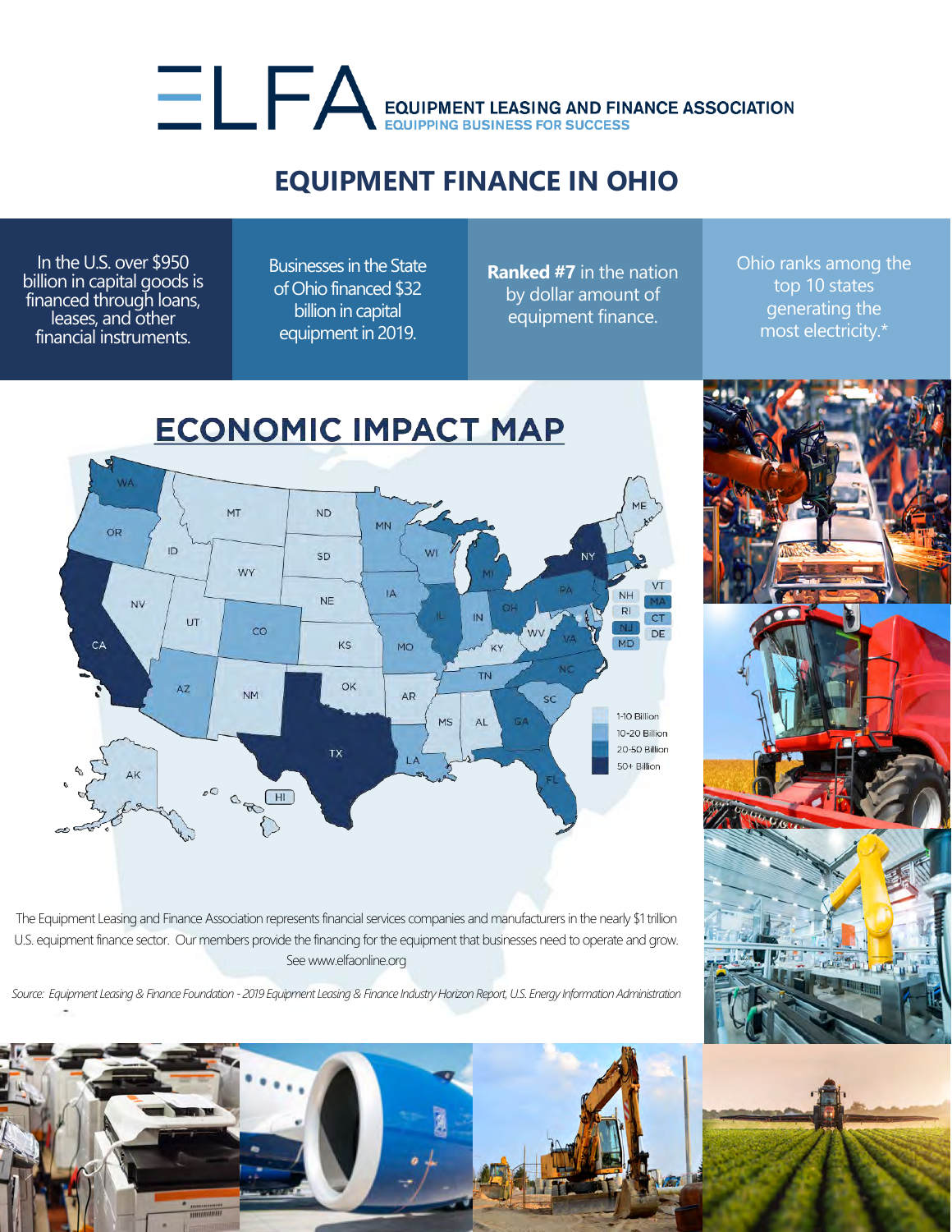## EQUIPMENT LEASING AND FINANCE ASSOCIATION

## **EQUIPMENT FINANCE IN OHIO**

In the U.S. over \$950 billion in capital goods is financed through loans, leases, and other financial instruments.

Businesses in the State of Ohio financed \$32 billion in capital equipment in 2019.

**Ranked #7** in the nation by dollar amount of equipment finance.

Ohio ranks among the top 10 states generating the most electricity.\*



The Equipment Leasing and Finance Association represents financial services companies and manufacturers in the nearly \$1 trillion U.S. equipment finance sector. Our members provide the financing for the equipment that businesses need to operate and grow. See www.elfaonline.org

*Source: Equipment Leasing & Finance Foundation - 2019 Equipment Leasing & Finance Industry Horizon Report, U.S. Energy Information Administration*